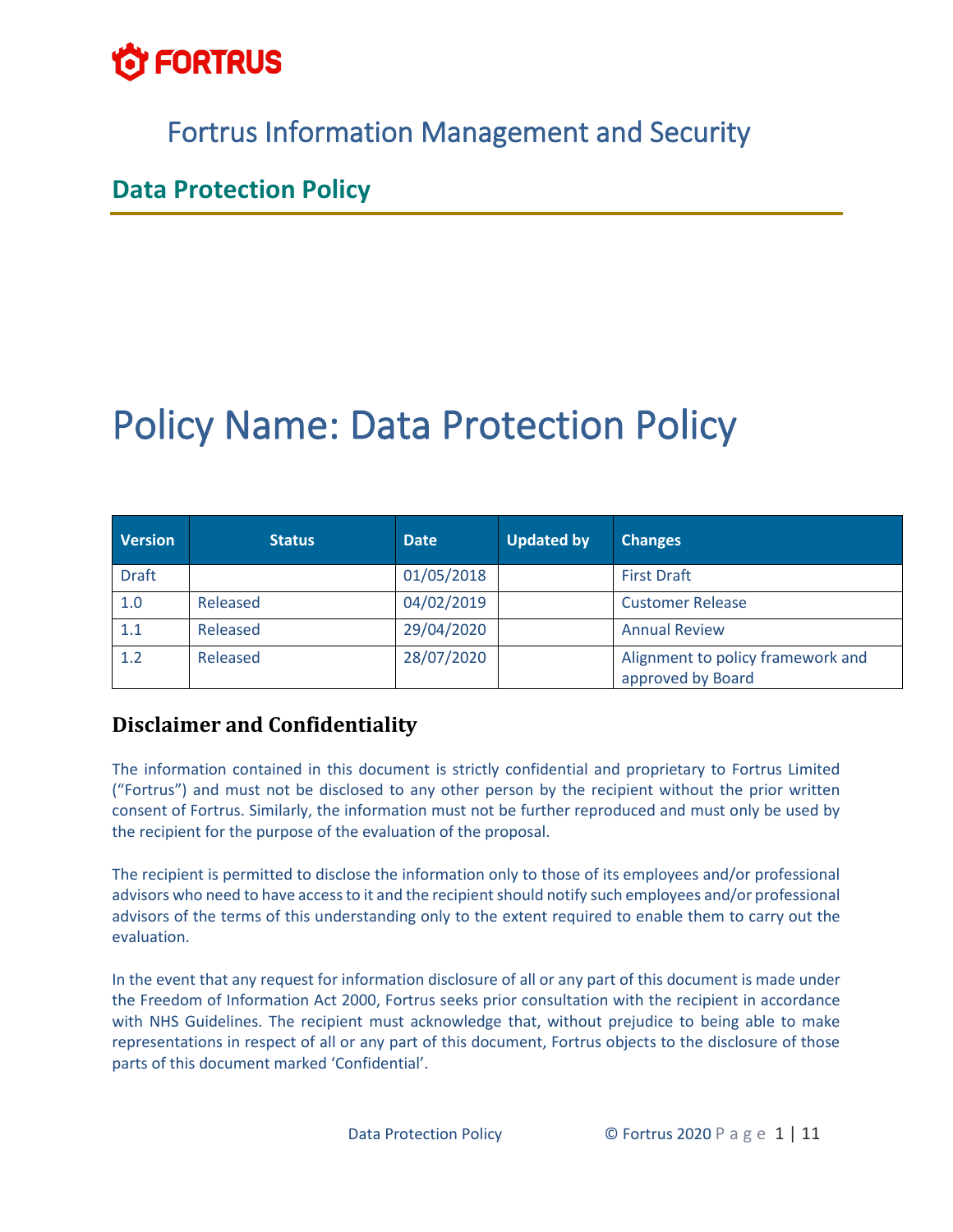

# Fortrus Information Management and Security

## **Data Protection Policy**

# Policy Name: Data Protection Policy

| <b>Version</b> | <b>Status</b> | <b>Date</b> | <b>Updated by</b> | <b>Changes</b>                                         |
|----------------|---------------|-------------|-------------------|--------------------------------------------------------|
| <b>Draft</b>   |               | 01/05/2018  |                   | <b>First Draft</b>                                     |
| 1.0            | Released      | 04/02/2019  |                   | <b>Customer Release</b>                                |
| 1.1            | Released      | 29/04/2020  |                   | <b>Annual Review</b>                                   |
| 1.2            | Released      | 28/07/2020  |                   | Alignment to policy framework and<br>approved by Board |

### **Disclaimer and Confidentiality**

The information contained in this document is strictly confidential and proprietary to Fortrus Limited ("Fortrus") and must not be disclosed to any other person by the recipient without the prior written consent of Fortrus. Similarly, the information must not be further reproduced and must only be used by the recipient for the purpose of the evaluation of the proposal.

The recipient is permitted to disclose the information only to those of its employees and/or professional advisors who need to have access to it and the recipient should notify such employees and/or professional advisors of the terms of this understanding only to the extent required to enable them to carry out the evaluation.

In the event that any request for information disclosure of all or any part of this document is made under the Freedom of Information Act 2000, Fortrus seeks prior consultation with the recipient in accordance with NHS Guidelines. The recipient must acknowledge that, without prejudice to being able to make representations in respect of all or any part of this document, Fortrus objects to the disclosure of those parts of this document marked 'Confidential'.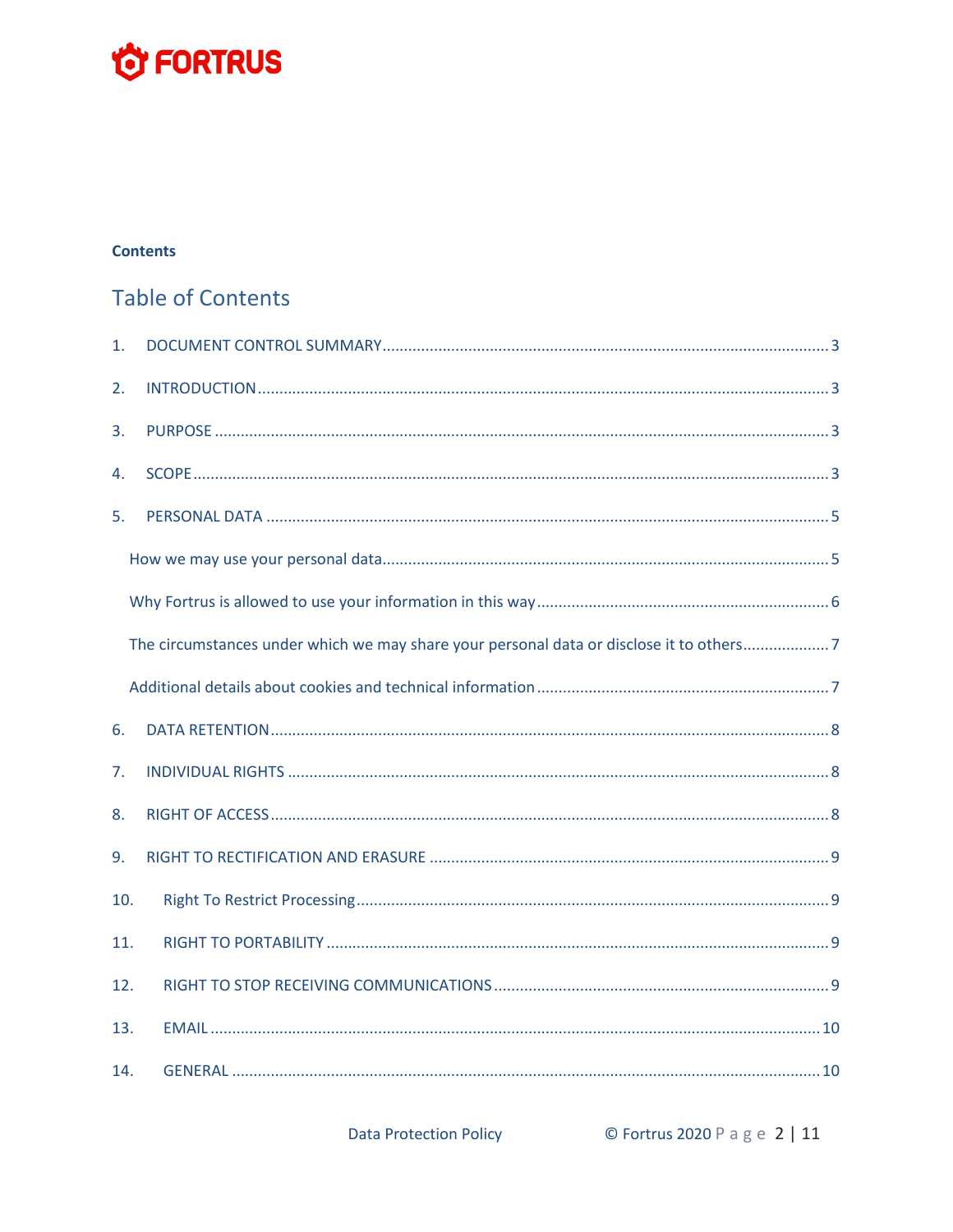# **O FORTRUS**

#### **Contents**

# **Table of Contents**

| 1.  |                                                                                         |
|-----|-----------------------------------------------------------------------------------------|
| 2.  |                                                                                         |
| 3.  |                                                                                         |
| 4.  |                                                                                         |
| 5.  |                                                                                         |
|     |                                                                                         |
|     |                                                                                         |
|     | The circumstances under which we may share your personal data or disclose it to others7 |
|     |                                                                                         |
| 6.  |                                                                                         |
| 7.  |                                                                                         |
| 8.  |                                                                                         |
| 9.  |                                                                                         |
| 10. |                                                                                         |
| 11. |                                                                                         |
| 12. |                                                                                         |
| 13. |                                                                                         |
| 14. |                                                                                         |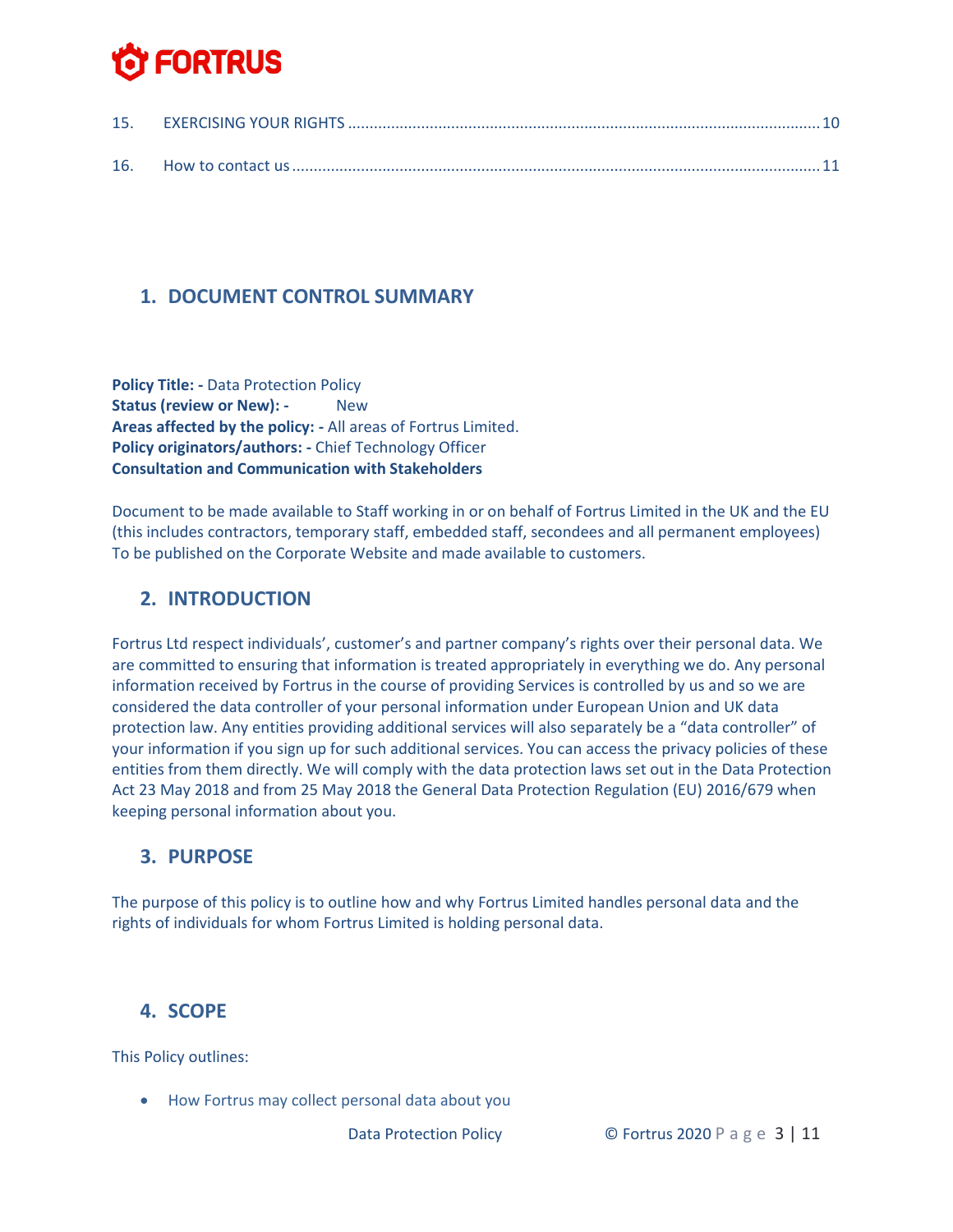## <span id="page-2-0"></span>**1. DOCUMENT CONTROL SUMMARY**

**Policy Title: -** Data Protection Policy **Status (review or New): - New Areas affected by the policy: -** All areas of Fortrus Limited. **Policy originators/authors: -** Chief Technology Officer **Consultation and Communication with Stakeholders**

Document to be made available to Staff working in or on behalf of Fortrus Limited in the UK and the EU (this includes contractors, temporary staff, embedded staff, secondees and all permanent employees) To be published on the Corporate Website and made available to customers.

### <span id="page-2-1"></span>**2. INTRODUCTION**

Fortrus Ltd respect individuals', customer's and partner company's rights over their personal data. We are committed to ensuring that information is treated appropriately in everything we do. Any personal information received by Fortrus in the course of providing Services is controlled by us and so we are considered the data controller of your personal information under European Union and UK data protection law. Any entities providing additional services will also separately be a "data controller" of your information if you sign up for such additional services. You can access the privacy policies of these entities from them directly. We will comply with the data protection laws set out in the Data Protection Act 23 May 2018 and from 25 May 2018 the General Data Protection Regulation (EU) 2016/679 when keeping personal information about you.

#### <span id="page-2-2"></span>**3. PURPOSE**

The purpose of this policy is to outline how and why Fortrus Limited handles personal data and the rights of individuals for whom Fortrus Limited is holding personal data.

### <span id="page-2-3"></span>**4. SCOPE**

This Policy outlines:

• How Fortrus may collect personal data about you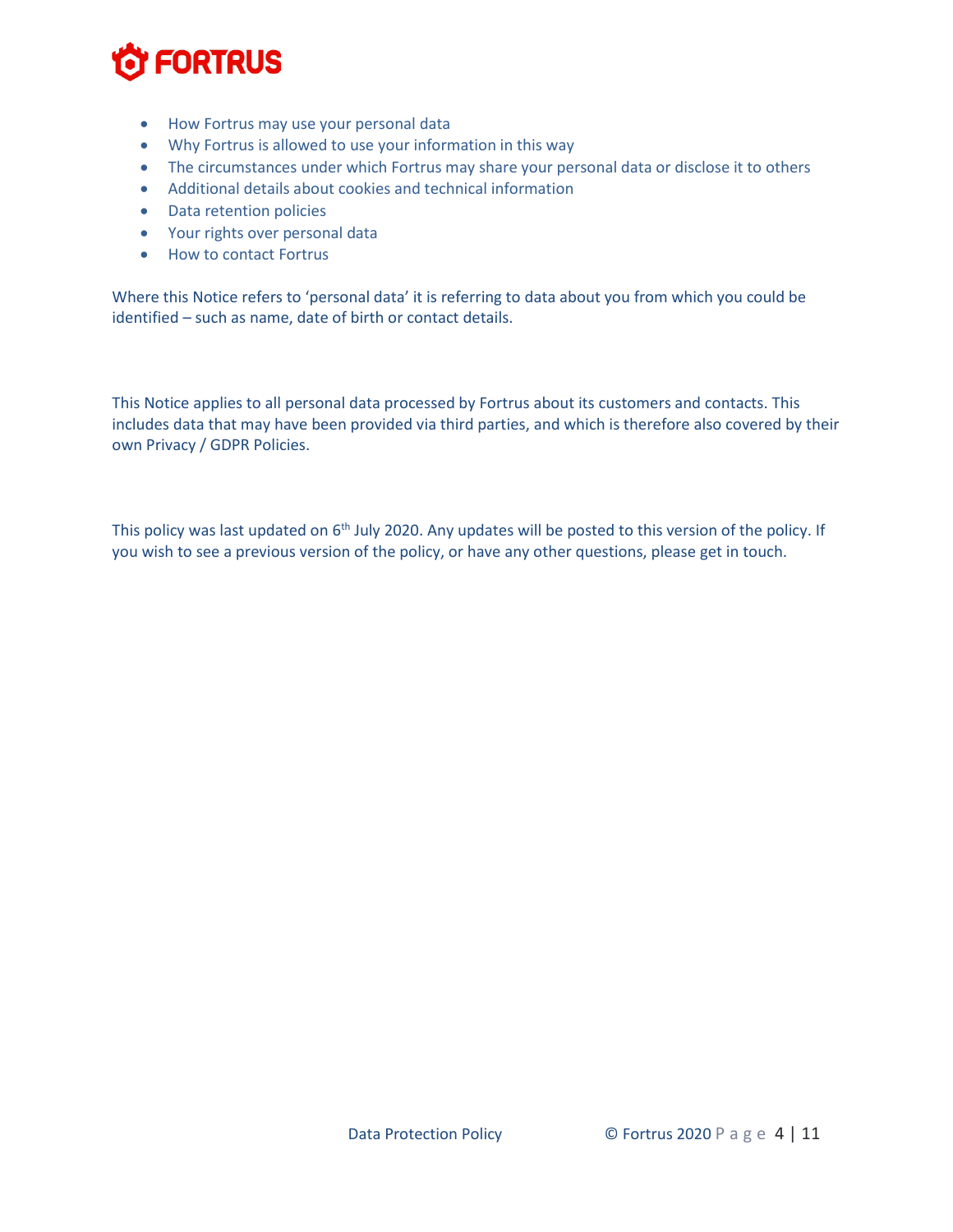- How Fortrus may use your personal data
- Why Fortrus is allowed to use your information in this way
- The circumstances under which Fortrus may share your personal data or disclose it to others
- Additional details about cookies and technical information
- Data retention policies
- Your rights over personal data
- How to contact Fortrus

Where this Notice refers to 'personal data' it is referring to data about you from which you could be identified – such as name, date of birth or contact details.

This Notice applies to all personal data processed by Fortrus about its customers and contacts. This includes data that may have been provided via third parties, and which is therefore also covered by their own Privacy / GDPR Policies.

This policy was last updated on 6<sup>th</sup> July 2020. Any updates will be posted to this version of the policy. If you wish to see a previous version of the policy, or have any other questions, please get in touch.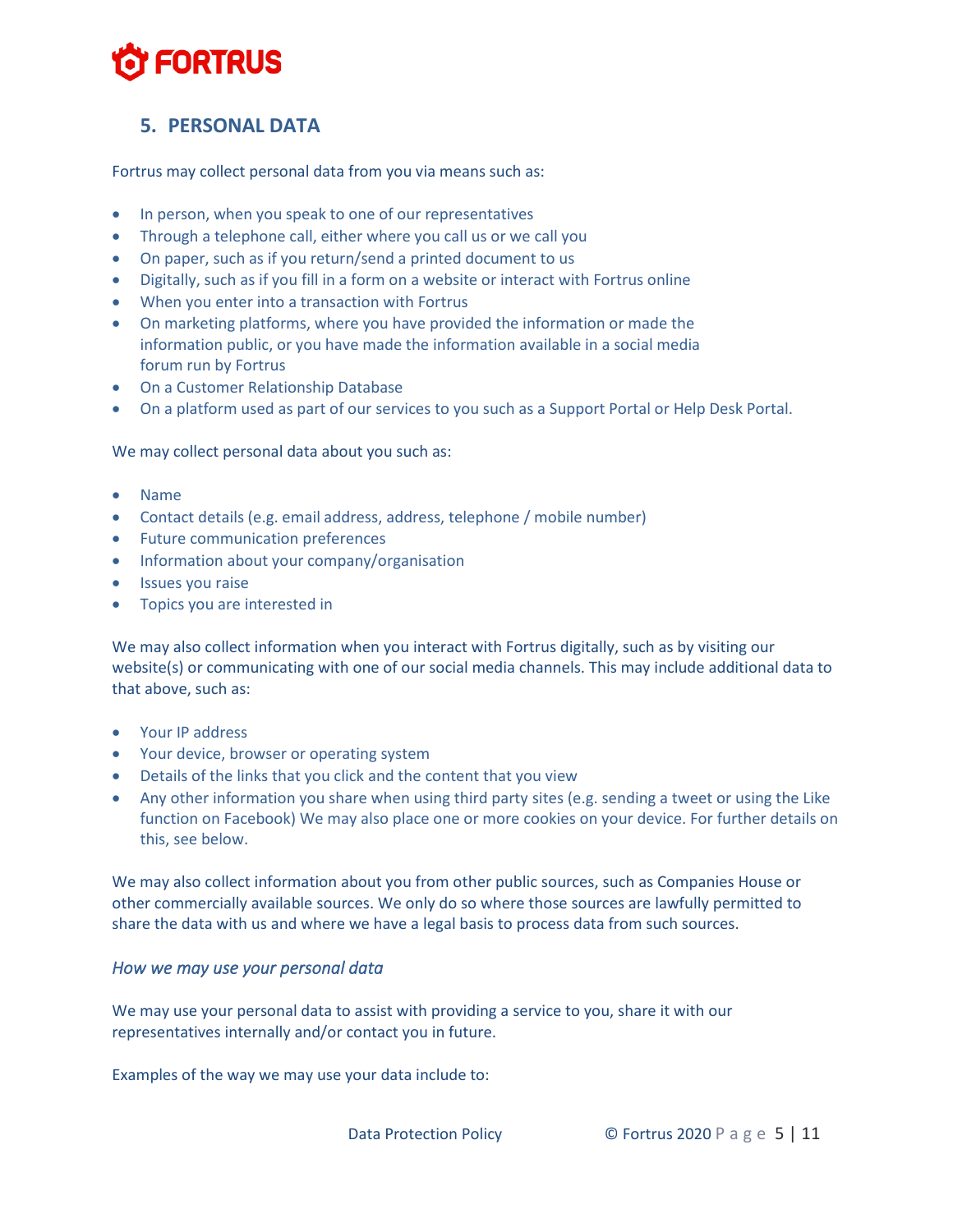### <span id="page-4-0"></span>**5. PERSONAL DATA**

Fortrus may collect personal data from you via means such as:

- In person, when you speak to one of our representatives
- Through a telephone call, either where you call us or we call you
- On paper, such as if you return/send a printed document to us
- Digitally, such as if you fill in a form on a website or interact with Fortrus online
- When you enter into a transaction with Fortrus
- On marketing platforms, where you have provided the information or made the information public, or you have made the information available in a social media forum run by Fortrus
- On a Customer Relationship Database
- On a platform used as part of our services to you such as a Support Portal or Help Desk Portal.

We may collect personal data about you such as:

- Name
- Contact details (e.g. email address, address, telephone / mobile number)
- Future communication preferences
- Information about your company/organisation
- Issues you raise
- Topics you are interested in

We may also collect information when you interact with Fortrus digitally, such as by visiting our website(s) or communicating with one of our social media channels. This may include additional data to that above, such as:

- Your IP address
- Your device, browser or operating system
- Details of the links that you click and the content that you view
- Any other information you share when using third party sites (e.g. sending a tweet or using the Like function on Facebook) We may also place one or more cookies on your device. For further details on this, see below.

We may also collect information about you from other public sources, such as Companies House or other commercially available sources. We only do so where those sources are lawfully permitted to share the data with us and where we have a legal basis to process data from such sources.

#### <span id="page-4-1"></span>*How we may use your personal data*

We may use your personal data to assist with providing a service to you, share it with our representatives internally and/or contact you in future.

Examples of the way we may use your data include to: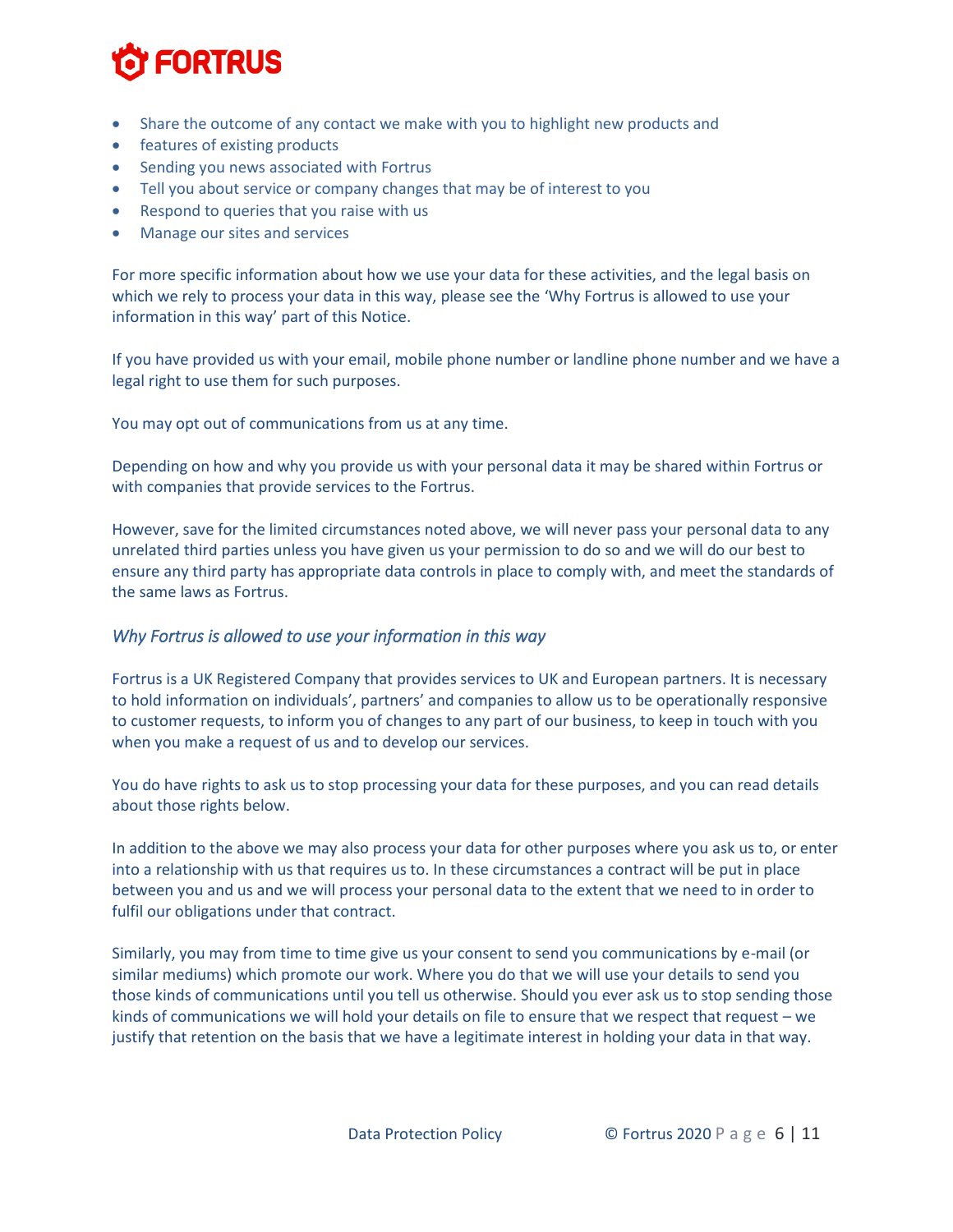- Share the outcome of any contact we make with you to highlight new products and
- features of existing products
- Sending you news associated with Fortrus
- Tell you about service or company changes that may be of interest to you
- Respond to queries that you raise with us
- Manage our sites and services

For more specific information about how we use your data for these activities, and the legal basis on which we rely to process your data in this way, please see the 'Why Fortrus is allowed to use your information in this way' part of this Notice.

If you have provided us with your email, mobile phone number or landline phone number and we have a legal right to use them for such purposes.

You may opt out of communications from us at any time.

Depending on how and why you provide us with your personal data it may be shared within Fortrus or with companies that provide services to the Fortrus.

However, save for the limited circumstances noted above, we will never pass your personal data to any unrelated third parties unless you have given us your permission to do so and we will do our best to ensure any third party has appropriate data controls in place to comply with, and meet the standards of the same laws as Fortrus.

#### <span id="page-5-0"></span>*Why Fortrus is allowed to use your information in this way*

Fortrus is a UK Registered Company that provides services to UK and European partners. It is necessary to hold information on individuals', partners' and companies to allow us to be operationally responsive to customer requests, to inform you of changes to any part of our business, to keep in touch with you when you make a request of us and to develop our services.

You do have rights to ask us to stop processing your data for these purposes, and you can read details about those rights below.

In addition to the above we may also process your data for other purposes where you ask us to, or enter into a relationship with us that requires us to. In these circumstances a contract will be put in place between you and us and we will process your personal data to the extent that we need to in order to fulfil our obligations under that contract.

Similarly, you may from time to time give us your consent to send you communications by e-mail (or similar mediums) which promote our work. Where you do that we will use your details to send you those kinds of communications until you tell us otherwise. Should you ever ask us to stop sending those kinds of communications we will hold your details on file to ensure that we respect that request – we justify that retention on the basis that we have a legitimate interest in holding your data in that way.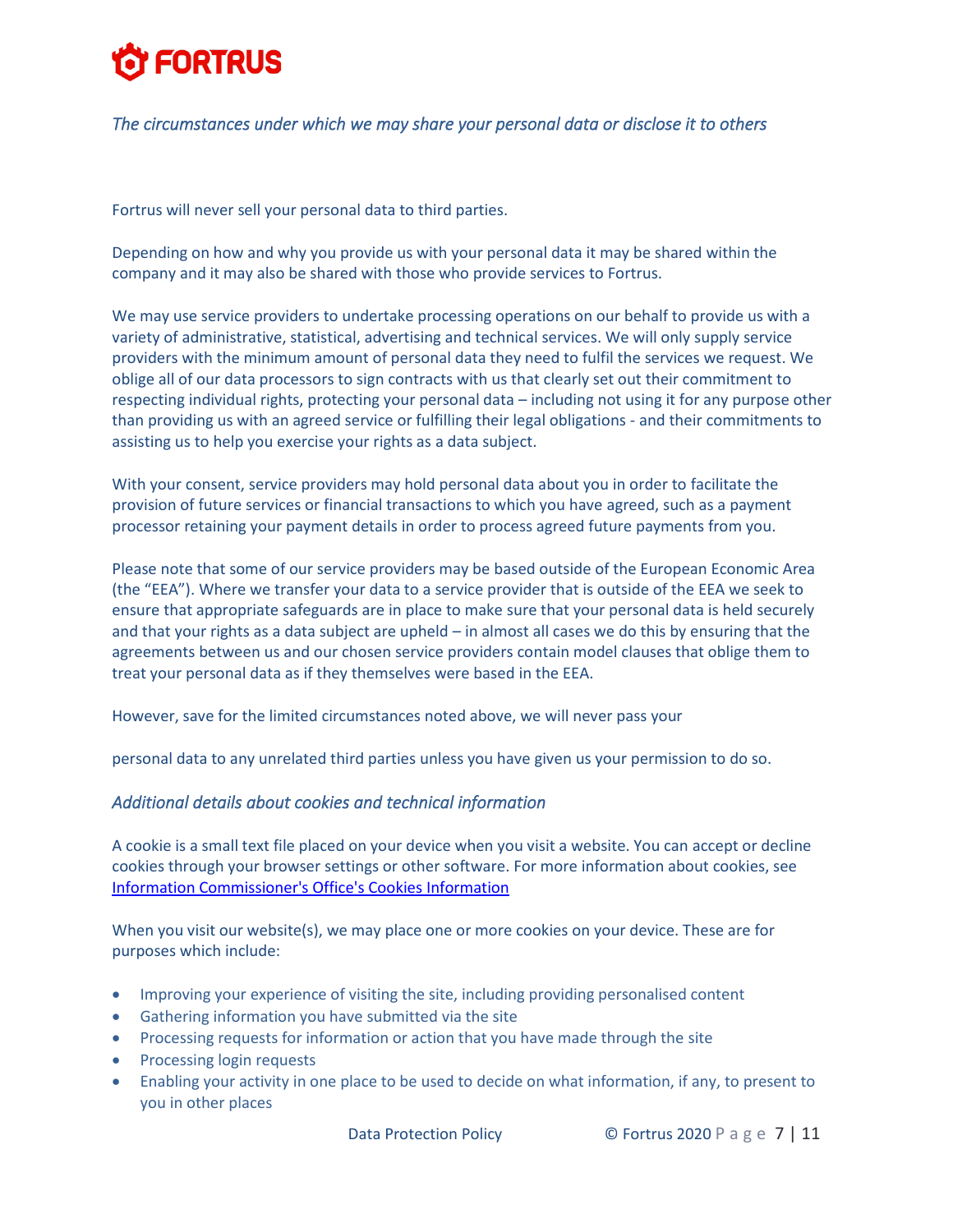#### <span id="page-6-0"></span>*The circumstances under which we may share your personal data or disclose it to others*

Fortrus will never sell your personal data to third parties.

Depending on how and why you provide us with your personal data it may be shared within the company and it may also be shared with those who provide services to Fortrus.

We may use service providers to undertake processing operations on our behalf to provide us with a variety of administrative, statistical, advertising and technical services. We will only supply service providers with the minimum amount of personal data they need to fulfil the services we request. We oblige all of our data processors to sign contracts with us that clearly set out their commitment to respecting individual rights, protecting your personal data – including not using it for any purpose other than providing us with an agreed service or fulfilling their legal obligations - and their commitments to assisting us to help you exercise your rights as a data subject.

With your consent, service providers may hold personal data about you in order to facilitate the provision of future services or financial transactions to which you have agreed, such as a payment processor retaining your payment details in order to process agreed future payments from you.

Please note that some of our service providers may be based outside of the European Economic Area (the "EEA"). Where we transfer your data to a service provider that is outside of the EEA we seek to ensure that appropriate safeguards are in place to make sure that your personal data is held securely and that your rights as a data subject are upheld – in almost all cases we do this by ensuring that the agreements between us and our chosen service providers contain model clauses that oblige them to treat your personal data as if they themselves were based in the EEA.

However, save for the limited circumstances noted above, we will never pass your

personal data to any unrelated third parties unless you have given us your permission to do so.

#### <span id="page-6-1"></span>*Additional details about cookies and technical information*

A cookie is a small text file placed on your device when you visit a website. You can accept or decline cookies through your browser settings or other software. For more information about cookies, see [Information Commissioner's Office's Cookies Information](https://ico.org.uk/your-data-matters/online/cookies/)

When you visit our website(s), we may place one or more cookies on your device. These are for purposes which include:

- Improving your experience of visiting the site, including providing personalised content
- Gathering information you have submitted via the site
- Processing requests for information or action that you have made through the site
- Processing login requests
- Enabling your activity in one place to be used to decide on what information, if any, to present to you in other places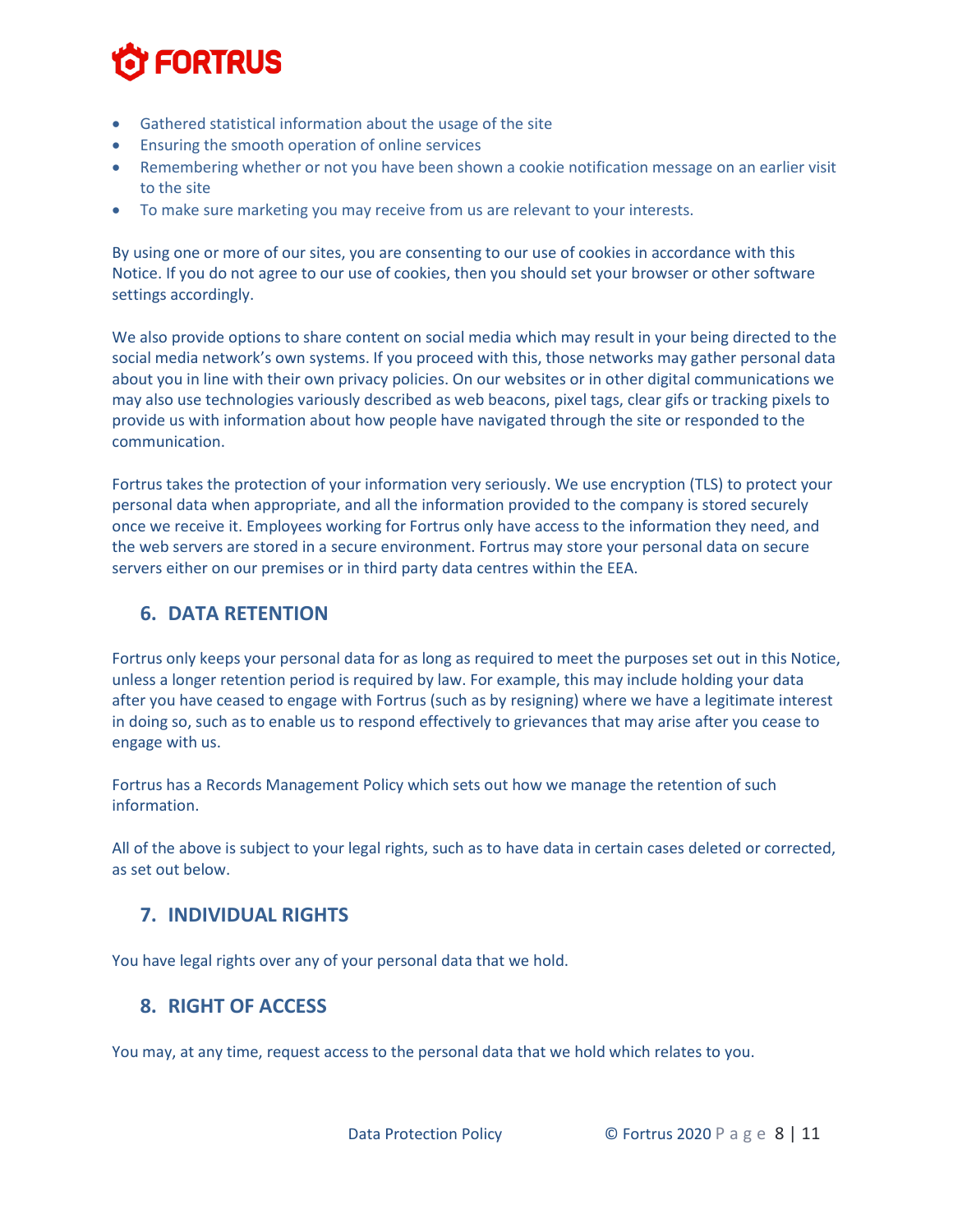- Gathered statistical information about the usage of the site
- Ensuring the smooth operation of online services
- Remembering whether or not you have been shown a cookie notification message on an earlier visit to the site
- To make sure marketing you may receive from us are relevant to your interests.

By using one or more of our sites, you are consenting to our use of cookies in accordance with this Notice. If you do not agree to our use of cookies, then you should set your browser or other software settings accordingly.

We also provide options to share content on social media which may result in your being directed to the social media network's own systems. If you proceed with this, those networks may gather personal data about you in line with their own privacy policies. On our websites or in other digital communications we may also use technologies variously described as web beacons, pixel tags, clear gifs or tracking pixels to provide us with information about how people have navigated through the site or responded to the communication.

Fortrus takes the protection of your information very seriously. We use encryption (TLS) to protect your personal data when appropriate, and all the information provided to the company is stored securely once we receive it. Employees working for Fortrus only have access to the information they need, and the web servers are stored in a secure environment. Fortrus may store your personal data on secure servers either on our premises or in third party data centres within the EEA.

### <span id="page-7-0"></span>**6. DATA RETENTION**

Fortrus only keeps your personal data for as long as required to meet the purposes set out in this Notice, unless a longer retention period is required by law. For example, this may include holding your data after you have ceased to engage with Fortrus (such as by resigning) where we have a legitimate interest in doing so, such as to enable us to respond effectively to grievances that may arise after you cease to engage with us.

Fortrus has a Records Management Policy which sets out how we manage the retention of such information.

All of the above is subject to your legal rights, such as to have data in certain cases deleted or corrected, as set out below.

### <span id="page-7-1"></span>**7. INDIVIDUAL RIGHTS**

You have legal rights over any of your personal data that we hold.

#### <span id="page-7-2"></span>**8. RIGHT OF ACCESS**

You may, at any time, request access to the personal data that we hold which relates to you.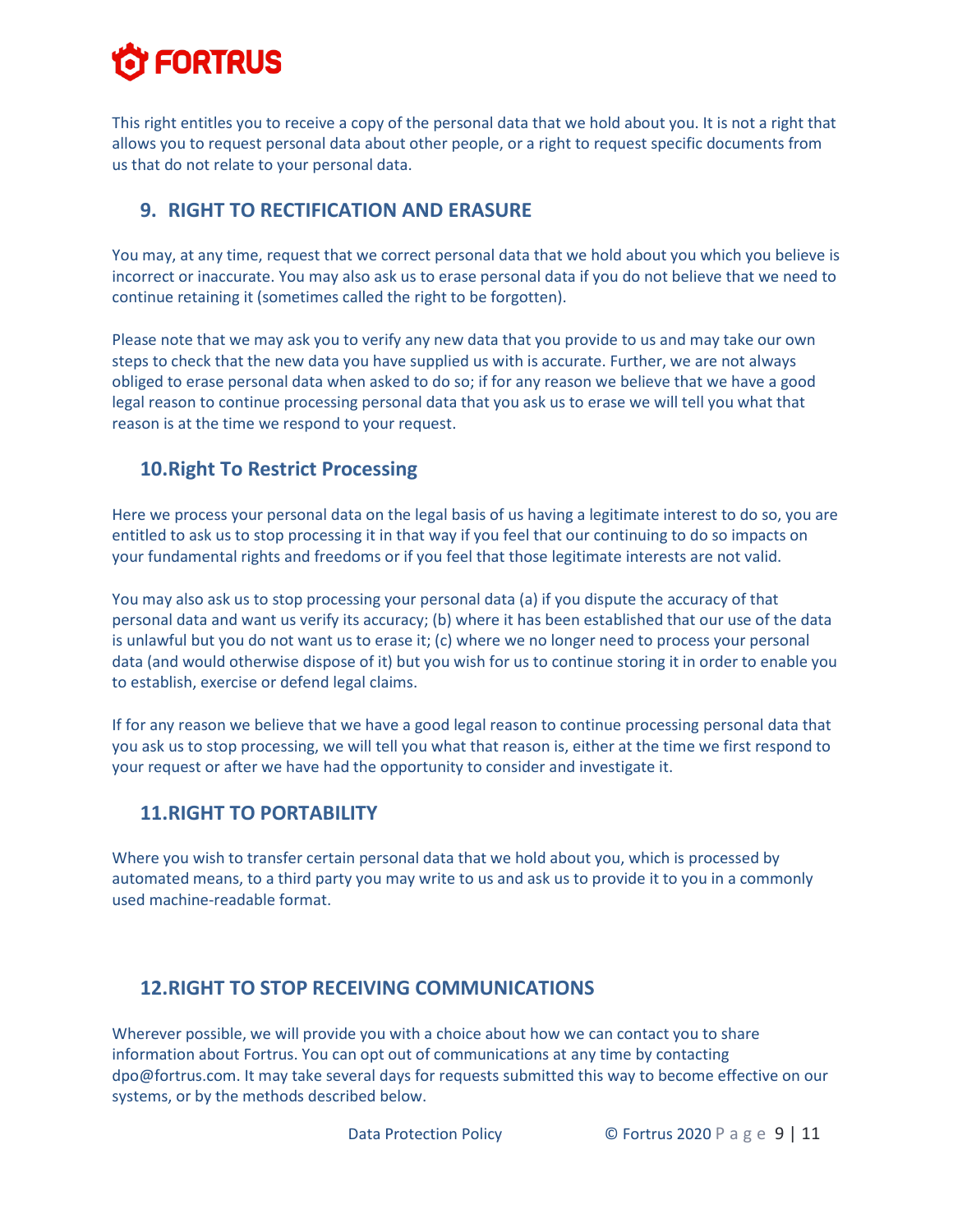This right entitles you to receive a copy of the personal data that we hold about you. It is not a right that allows you to request personal data about other people, or a right to request specific documents from us that do not relate to your personal data.

## <span id="page-8-0"></span>**9. RIGHT TO RECTIFICATION AND ERASURE**

You may, at any time, request that we correct personal data that we hold about you which you believe is incorrect or inaccurate. You may also ask us to erase personal data if you do not believe that we need to continue retaining it (sometimes called the right to be forgotten).

Please note that we may ask you to verify any new data that you provide to us and may take our own steps to check that the new data you have supplied us with is accurate. Further, we are not always obliged to erase personal data when asked to do so; if for any reason we believe that we have a good legal reason to continue processing personal data that you ask us to erase we will tell you what that reason is at the time we respond to your request.

### <span id="page-8-1"></span>**10.Right To Restrict Processing**

Here we process your personal data on the legal basis of us having a legitimate interest to do so, you are entitled to ask us to stop processing it in that way if you feel that our continuing to do so impacts on your fundamental rights and freedoms or if you feel that those legitimate interests are not valid.

You may also ask us to stop processing your personal data (a) if you dispute the accuracy of that personal data and want us verify its accuracy; (b) where it has been established that our use of the data is unlawful but you do not want us to erase it; (c) where we no longer need to process your personal data (and would otherwise dispose of it) but you wish for us to continue storing it in order to enable you to establish, exercise or defend legal claims.

If for any reason we believe that we have a good legal reason to continue processing personal data that you ask us to stop processing, we will tell you what that reason is, either at the time we first respond to your request or after we have had the opportunity to consider and investigate it.

### <span id="page-8-2"></span>**11.RIGHT TO PORTABILITY**

Where you wish to transfer certain personal data that we hold about you, which is processed by automated means, to a third party you may write to us and ask us to provide it to you in a commonly used machine-readable format.

### <span id="page-8-3"></span>**12.RIGHT TO STOP RECEIVING COMMUNICATIONS**

Wherever possible, we will provide you with a choice about how we can contact you to share information about Fortrus. You can opt out of communications at any time by contacting dpo@fortrus.com. It may take several days for requests submitted this way to become effective on our systems, or by the methods described below.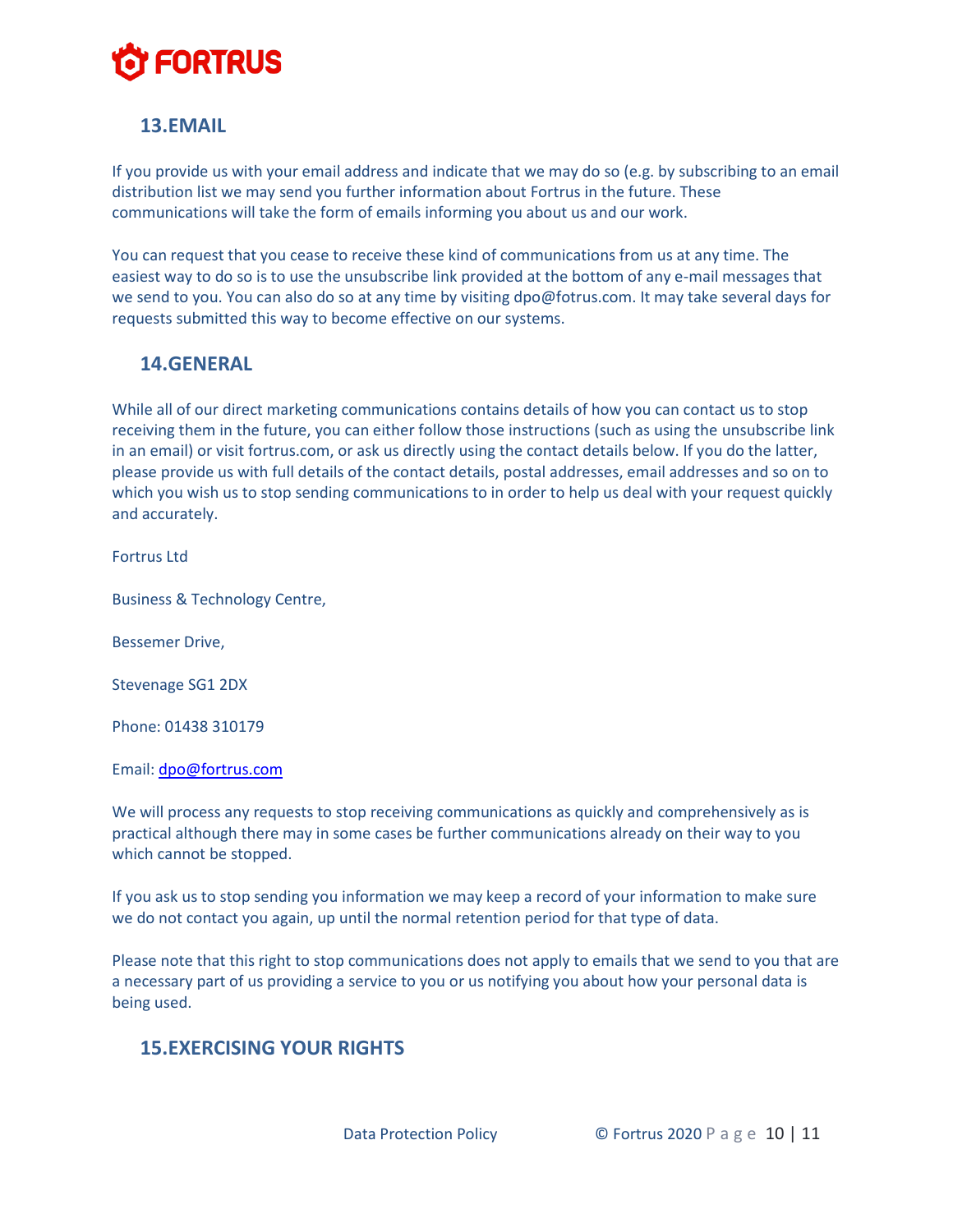### <span id="page-9-0"></span>**13.EMAIL**

If you provide us with your email address and indicate that we may do so (e.g. by subscribing to an email distribution list we may send you further information about Fortrus in the future. These communications will take the form of emails informing you about us and our work.

You can request that you cease to receive these kind of communications from us at any time. The easiest way to do so is to use the unsubscribe link provided at the bottom of any e-mail messages that we send to you. You can also do so at any time by visiting dpo@fotrus.com. It may take several days for requests submitted this way to become effective on our systems.

#### <span id="page-9-1"></span>**14.GENERAL**

While all of our direct marketing communications contains details of how you can contact us to stop receiving them in the future, you can either follow those instructions (such as using the unsubscribe link in an email) or visit fortrus.com, or ask us directly using the contact details below. If you do the latter, please provide us with full details of the contact details, postal addresses, email addresses and so on to which you wish us to stop sending communications to in order to help us deal with your request quickly and accurately.

Fortrus Ltd

Business & Technology Centre,

Bessemer Drive,

Stevenage SG1 2DX

Phone: 01438 310179

Email: [dpo@fortrus.com](mailto:dpo@fortrus.com)

We will process any requests to stop receiving communications as quickly and comprehensively as is practical although there may in some cases be further communications already on their way to you which cannot be stopped.

If you ask us to stop sending you information we may keep a record of your information to make sure we do not contact you again, up until the normal retention period for that type of data.

Please note that this right to stop communications does not apply to emails that we send to you that are a necessary part of us providing a service to you or us notifying you about how your personal data is being used.

### <span id="page-9-2"></span>**15.EXERCISING YOUR RIGHTS**